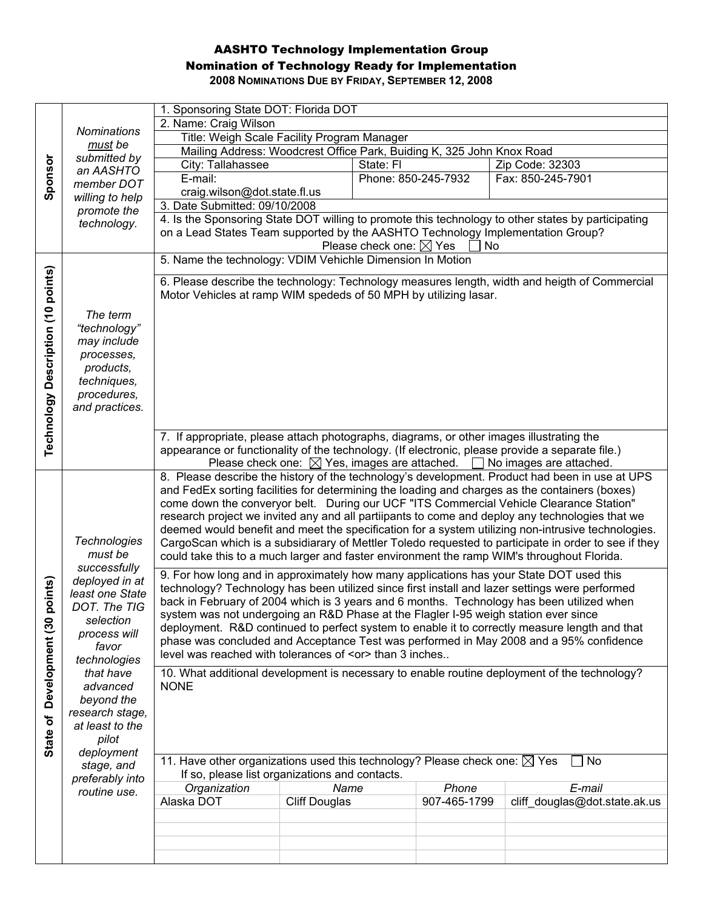## AASHTO Technology Implementation Group Nomination of Technology Ready for Implementation **2008 NOMINATIONS DUE BY FRIDAY, SEPTEMBER 12, 2008**

|                                    | <b>Nominations</b>                                                                                                                                                     | 1. Sponsoring State DOT: Florida DOT                                                                                                                                                             |                      |                     |              |                                                                                                 |  |  |
|------------------------------------|------------------------------------------------------------------------------------------------------------------------------------------------------------------------|--------------------------------------------------------------------------------------------------------------------------------------------------------------------------------------------------|----------------------|---------------------|--------------|-------------------------------------------------------------------------------------------------|--|--|
|                                    |                                                                                                                                                                        | 2. Name: Craig Wilson                                                                                                                                                                            |                      |                     |              |                                                                                                 |  |  |
|                                    | must be                                                                                                                                                                | Title: Weigh Scale Facility Program Manager                                                                                                                                                      |                      |                     |              |                                                                                                 |  |  |
|                                    | submitted by                                                                                                                                                           | Mailing Address: Woodcrest Office Park, Buiding K, 325 John Knox Road                                                                                                                            |                      |                     |              |                                                                                                 |  |  |
| Sponsor                            | an AASHTO                                                                                                                                                              | City: Tallahassee                                                                                                                                                                                |                      | State: FI           |              | Zip Code: 32303                                                                                 |  |  |
|                                    | member DOT                                                                                                                                                             | E-mail:                                                                                                                                                                                          |                      | Phone: 850-245-7932 |              | Fax: 850-245-7901                                                                               |  |  |
|                                    | willing to help                                                                                                                                                        | craig.wilson@dot.state.fl.us                                                                                                                                                                     |                      |                     |              |                                                                                                 |  |  |
|                                    | promote the                                                                                                                                                            | 3. Date Submitted: 09/10/2008<br>4. Is the Sponsoring State DOT willing to promote this technology to other states by participating                                                              |                      |                     |              |                                                                                                 |  |  |
|                                    | technology.                                                                                                                                                            | on a Lead States Team supported by the AASHTO Technology Implementation Group?                                                                                                                   |                      |                     |              |                                                                                                 |  |  |
|                                    | Please check one: $\boxtimes$ Yes<br>No                                                                                                                                |                                                                                                                                                                                                  |                      |                     |              |                                                                                                 |  |  |
|                                    |                                                                                                                                                                        |                                                                                                                                                                                                  |                      |                     |              |                                                                                                 |  |  |
|                                    |                                                                                                                                                                        | 5. Name the technology: VDIM Vehichle Dimension In Motion                                                                                                                                        |                      |                     |              |                                                                                                 |  |  |
|                                    |                                                                                                                                                                        | Motor Vehicles at ramp WIM spededs of 50 MPH by utilizing lasar.                                                                                                                                 |                      |                     |              | 6. Please describe the technology: Technology measures length, width and heigth of Commercial   |  |  |
|                                    |                                                                                                                                                                        |                                                                                                                                                                                                  |                      |                     |              |                                                                                                 |  |  |
|                                    | The term                                                                                                                                                               |                                                                                                                                                                                                  |                      |                     |              |                                                                                                 |  |  |
|                                    | "technology"                                                                                                                                                           |                                                                                                                                                                                                  |                      |                     |              |                                                                                                 |  |  |
|                                    | may include                                                                                                                                                            |                                                                                                                                                                                                  |                      |                     |              |                                                                                                 |  |  |
|                                    | processes,<br>products,                                                                                                                                                |                                                                                                                                                                                                  |                      |                     |              |                                                                                                 |  |  |
|                                    | techniques,                                                                                                                                                            |                                                                                                                                                                                                  |                      |                     |              |                                                                                                 |  |  |
|                                    | procedures,                                                                                                                                                            |                                                                                                                                                                                                  |                      |                     |              |                                                                                                 |  |  |
|                                    | and practices.                                                                                                                                                         |                                                                                                                                                                                                  |                      |                     |              |                                                                                                 |  |  |
|                                    |                                                                                                                                                                        |                                                                                                                                                                                                  |                      |                     |              |                                                                                                 |  |  |
| Technology Description (10 points) |                                                                                                                                                                        | 7. If appropriate, please attach photographs, diagrams, or other images illustrating the                                                                                                         |                      |                     |              |                                                                                                 |  |  |
|                                    |                                                                                                                                                                        |                                                                                                                                                                                                  |                      |                     |              | appearance or functionality of the technology. (If electronic, please provide a separate file.) |  |  |
|                                    |                                                                                                                                                                        |                                                                                                                                                                                                  |                      |                     |              | Please check one: $\boxtimes$ Yes, images are attached. $\Box$ No images are attached.          |  |  |
|                                    |                                                                                                                                                                        | 8. Please describe the history of the technology's development. Product had been in use at UPS<br>and FedEx sorting facilities for determining the loading and charges as the containers (boxes) |                      |                     |              |                                                                                                 |  |  |
|                                    | <b>Technologies</b><br>must be<br>successfully<br>deployed in at<br>least one State<br>DOT. The TIG<br>selection<br>process will<br>favor<br>technologies<br>that have | come down the converyor belt.  During our UCF "ITS Commercial Vehicle Clearance Station"                                                                                                         |                      |                     |              |                                                                                                 |  |  |
|                                    |                                                                                                                                                                        | research project we invited any and all partiipants to come and deploy any technologies that we                                                                                                  |                      |                     |              |                                                                                                 |  |  |
|                                    |                                                                                                                                                                        | deemed would benefit and meet the specification for a system utilizing non-intrusive technologies.                                                                                               |                      |                     |              |                                                                                                 |  |  |
|                                    |                                                                                                                                                                        | CargoScan which is a subsidiarary of Mettler Toledo requested to participate in order to see if they                                                                                             |                      |                     |              |                                                                                                 |  |  |
|                                    |                                                                                                                                                                        | could take this to a much larger and faster environment the ramp WIM's throughout Florida.                                                                                                       |                      |                     |              |                                                                                                 |  |  |
|                                    |                                                                                                                                                                        | 9. For how long and in approximately how many applications has your State DOT used this                                                                                                          |                      |                     |              |                                                                                                 |  |  |
| points)                            |                                                                                                                                                                        | technology? Technology has been utilized since first install and lazer settings were performed                                                                                                   |                      |                     |              |                                                                                                 |  |  |
|                                    |                                                                                                                                                                        | back in February of 2004 which is 3 years and 6 months. Technology has been utilized when                                                                                                        |                      |                     |              |                                                                                                 |  |  |
|                                    |                                                                                                                                                                        | system was not undergoing an R&D Phase at the Flagler I-95 weigh station ever since<br>deployment. R&D continued to perfect system to enable it to correctly measure length and that             |                      |                     |              |                                                                                                 |  |  |
|                                    |                                                                                                                                                                        | phase was concluded and Acceptance Test was performed in May 2008 and a 95% confidence                                                                                                           |                      |                     |              |                                                                                                 |  |  |
|                                    |                                                                                                                                                                        | level was reached with tolerances of <or> than 3 inches</or>                                                                                                                                     |                      |                     |              |                                                                                                 |  |  |
| Development (30                    |                                                                                                                                                                        | 10. What additional development is necessary to enable routine deployment of the technology?                                                                                                     |                      |                     |              |                                                                                                 |  |  |
|                                    | advanced                                                                                                                                                               | <b>NONE</b>                                                                                                                                                                                      |                      |                     |              |                                                                                                 |  |  |
|                                    | beyond the                                                                                                                                                             |                                                                                                                                                                                                  |                      |                     |              |                                                                                                 |  |  |
|                                    | research stage,                                                                                                                                                        |                                                                                                                                                                                                  |                      |                     |              |                                                                                                 |  |  |
|                                    | at least to the                                                                                                                                                        |                                                                                                                                                                                                  |                      |                     |              |                                                                                                 |  |  |
| State of                           | pilot                                                                                                                                                                  |                                                                                                                                                                                                  |                      |                     |              |                                                                                                 |  |  |
|                                    | deployment<br>stage, and                                                                                                                                               | 11. Have other organizations used this technology? Please check one: $\boxtimes$ Yes                                                                                                             |                      |                     |              | <b>No</b>                                                                                       |  |  |
|                                    | preferably into                                                                                                                                                        | If so, please list organizations and contacts.                                                                                                                                                   |                      |                     |              |                                                                                                 |  |  |
|                                    | routine use.                                                                                                                                                           | Organization                                                                                                                                                                                     | Name                 |                     | Phone        | E-mail                                                                                          |  |  |
|                                    |                                                                                                                                                                        | Alaska DOT                                                                                                                                                                                       | <b>Cliff Douglas</b> |                     | 907-465-1799 | cliff douglas@dot.state.ak.us                                                                   |  |  |
|                                    |                                                                                                                                                                        |                                                                                                                                                                                                  |                      |                     |              |                                                                                                 |  |  |
|                                    |                                                                                                                                                                        |                                                                                                                                                                                                  |                      |                     |              |                                                                                                 |  |  |
|                                    |                                                                                                                                                                        |                                                                                                                                                                                                  |                      |                     |              |                                                                                                 |  |  |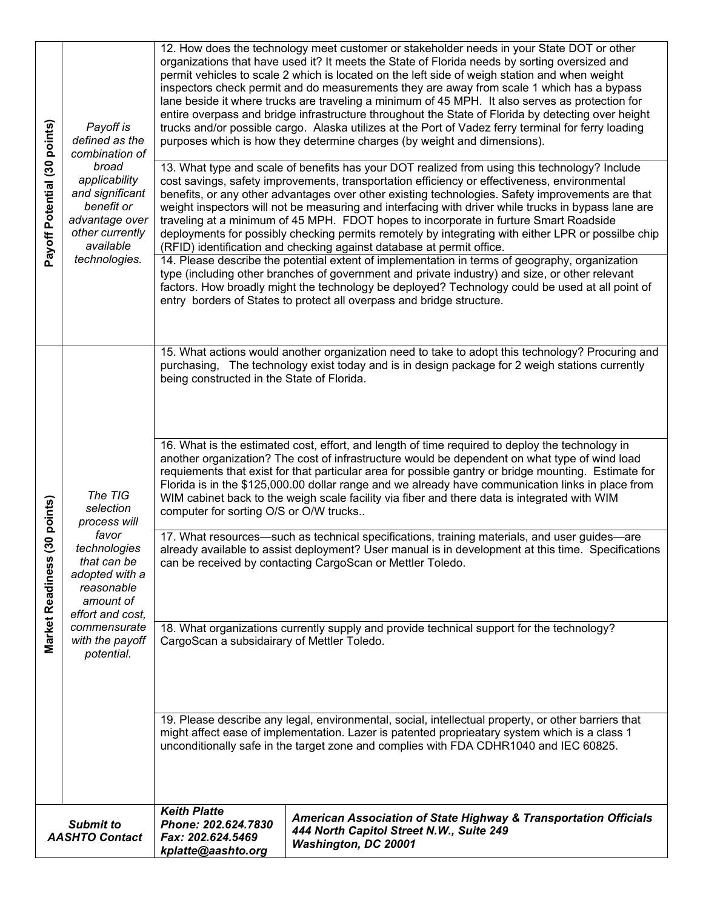| <b>Submit to</b><br><b>AASHTO Contact</b> |                                                                                                                                                                                                | <b>Keith Platte</b><br>Phone: 202.624.7830<br>Fax: 202.624.5469<br>kplatte@aashto.org                                                    | American Association of State Highway & Transportation Officials<br>444 North Capitol Street N.W., Suite 249<br>Washington, DC 20001                                                                                                                                                                                                                                                                                                                                                                                                                                                                                                                                                                                                                                                                                                                                                                                                                                                                                                                                                                                                         |  |  |  |
|-------------------------------------------|------------------------------------------------------------------------------------------------------------------------------------------------------------------------------------------------|------------------------------------------------------------------------------------------------------------------------------------------|----------------------------------------------------------------------------------------------------------------------------------------------------------------------------------------------------------------------------------------------------------------------------------------------------------------------------------------------------------------------------------------------------------------------------------------------------------------------------------------------------------------------------------------------------------------------------------------------------------------------------------------------------------------------------------------------------------------------------------------------------------------------------------------------------------------------------------------------------------------------------------------------------------------------------------------------------------------------------------------------------------------------------------------------------------------------------------------------------------------------------------------------|--|--|--|
|                                           |                                                                                                                                                                                                |                                                                                                                                          | 19. Please describe any legal, environmental, social, intellectual property, or other barriers that<br>might affect ease of implementation. Lazer is patented proprieatary system which is a class 1<br>unconditionally safe in the target zone and complies with FDA CDHR1040 and IEC 60825.                                                                                                                                                                                                                                                                                                                                                                                                                                                                                                                                                                                                                                                                                                                                                                                                                                                |  |  |  |
| (30 points)<br><b>Market Readiness</b>    | The TIG<br>selection<br>process will<br>favor<br>technologies<br>that can be<br>adopted with a<br>reasonable<br>amount of<br>effort and cost,<br>commensurate<br>with the payoff<br>potential. | 18. What organizations currently supply and provide technical support for the technology?<br>CargoScan a subsidairary of Mettler Toledo. |                                                                                                                                                                                                                                                                                                                                                                                                                                                                                                                                                                                                                                                                                                                                                                                                                                                                                                                                                                                                                                                                                                                                              |  |  |  |
|                                           |                                                                                                                                                                                                |                                                                                                                                          | 17. What resources—such as technical specifications, training materials, and user guides—are<br>already available to assist deployment? User manual is in development at this time. Specifications<br>can be received by contacting CargoScan or Mettler Toledo.                                                                                                                                                                                                                                                                                                                                                                                                                                                                                                                                                                                                                                                                                                                                                                                                                                                                             |  |  |  |
|                                           |                                                                                                                                                                                                | computer for sorting O/S or O/W trucks                                                                                                   | 16. What is the estimated cost, effort, and length of time required to deploy the technology in<br>another organization? The cost of infrastructure would be dependent on what type of wind load<br>requiements that exist for that particular area for possible gantry or bridge mounting. Estimate for<br>Florida is in the \$125,000.00 dollar range and we already have communication links in place from<br>WIM cabinet back to the weigh scale facility via fiber and there data is integrated with WIM                                                                                                                                                                                                                                                                                                                                                                                                                                                                                                                                                                                                                                |  |  |  |
|                                           |                                                                                                                                                                                                | being constructed in the State of Florida.                                                                                               | 15. What actions would another organization need to take to adopt this technology? Procuring and<br>purchasing, The technology exist today and is in design package for 2 weigh stations currently                                                                                                                                                                                                                                                                                                                                                                                                                                                                                                                                                                                                                                                                                                                                                                                                                                                                                                                                           |  |  |  |
| Payoff Potential (30 points)              | defined as the<br>combination of<br>broad<br>applicability<br>and significant<br>benefit or<br>advantage over<br>other currently<br>available<br>technologies.                                 |                                                                                                                                          | purposes which is how they determine charges (by weight and dimensions).<br>13. What type and scale of benefits has your DOT realized from using this technology? Include<br>cost savings, safety improvements, transportation efficiency or effectiveness, environmental<br>benefits, or any other advantages over other existing technologies. Safety improvements are that<br>weight inspectors will not be measuring and interfacing with driver while trucks in bypass lane are<br>traveling at a minimum of 45 MPH. FDOT hopes to incorporate in furture Smart Roadside<br>deployments for possibly checking permits remotely by integrating with either LPR or possilbe chip<br>(RFID) identification and checking against database at permit office.<br>14. Please describe the potential extent of implementation in terms of geography, organization<br>type (including other branches of government and private industry) and size, or other relevant<br>factors. How broadly might the technology be deployed? Technology could be used at all point of<br>entry borders of States to protect all overpass and bridge structure. |  |  |  |
|                                           | Payoff is                                                                                                                                                                                      |                                                                                                                                          | 12. How does the technology meet customer or stakeholder needs in your State DOT or other<br>organizations that have used it? It meets the State of Florida needs by sorting oversized and<br>permit vehicles to scale 2 which is located on the left side of weigh station and when weight<br>inspectors check permit and do measurements they are away from scale 1 which has a bypass<br>lane beside it where trucks are traveling a minimum of 45 MPH. It also serves as protection for<br>entire overpass and bridge infrastructure throughout the State of Florida by detecting over height<br>trucks and/or possible cargo. Alaska utilizes at the Port of Vadez ferry terminal for ferry loading                                                                                                                                                                                                                                                                                                                                                                                                                                     |  |  |  |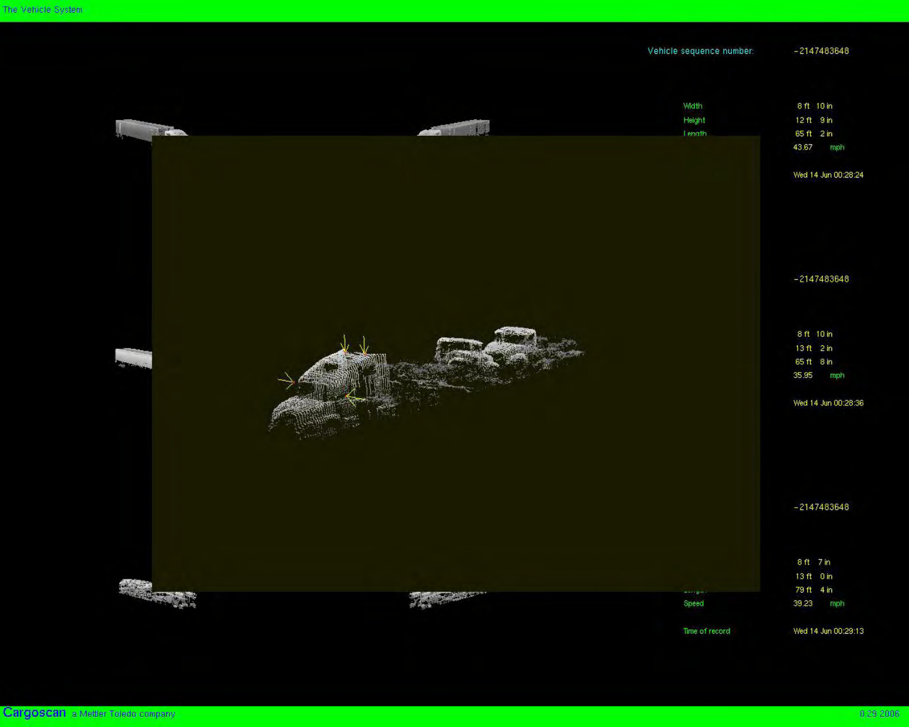

## Vehicle sequence number:

Width Height

Length

8 ft 10 in 12 ft 9 in 65 ft 2 in 43.67 mph

 $-2147483648$ 

Wed 14 Jun 00:28:24

 $-2147483648$ 

8 ft 10 in 13 ft 2 in 65 ft 8 in 35,95 mph

Wed 14 Jun 00:28:36

## $-2147483648$

8 ft 7 in 13 ft 0 in 79 ft 4 in 39.23 mph

----Speed

Time of record

Wed 14 Jun 00:29:13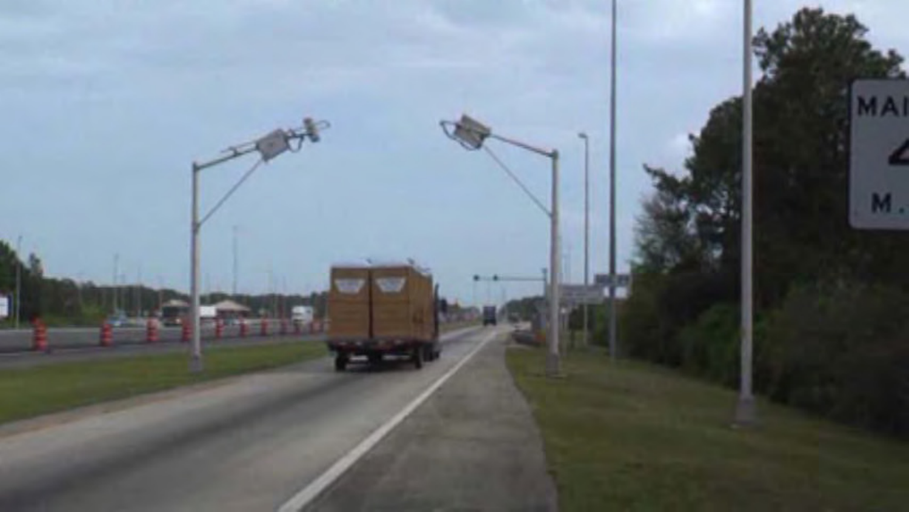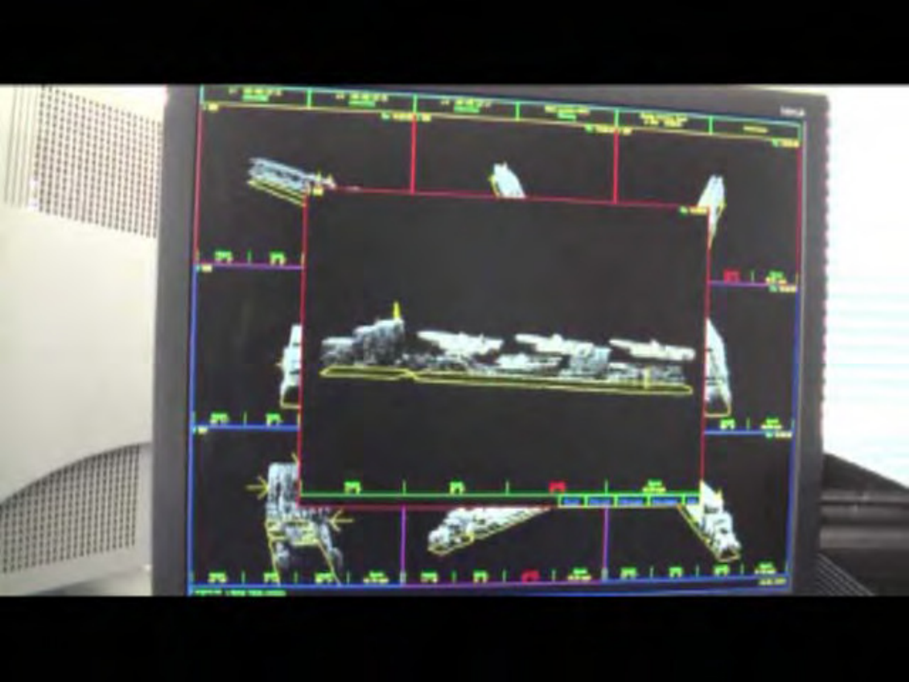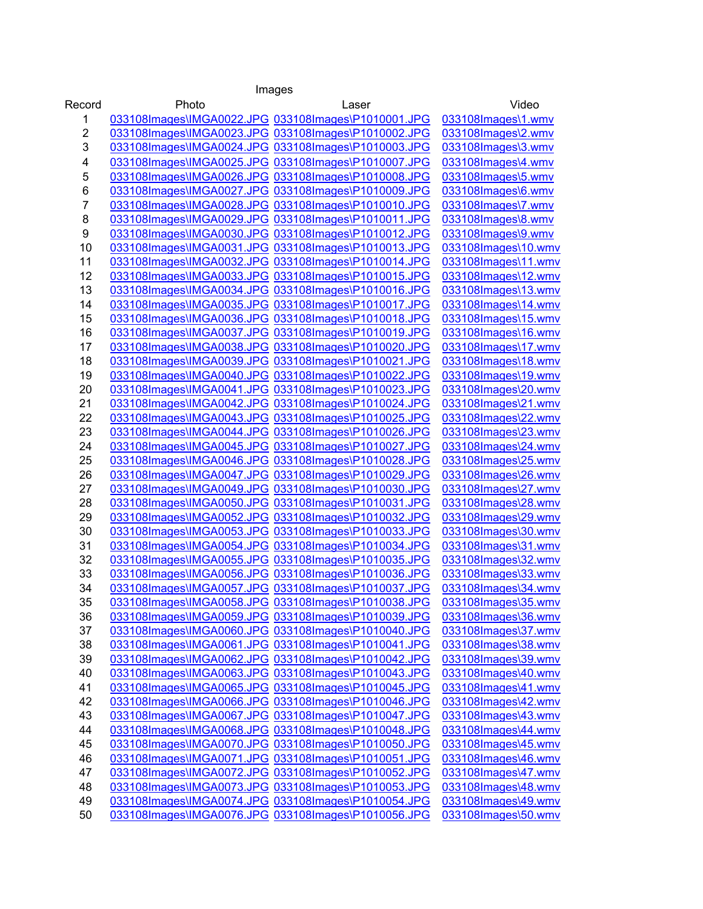|                | Images                                              |       |                     |  |  |  |  |  |
|----------------|-----------------------------------------------------|-------|---------------------|--|--|--|--|--|
| Record         | Photo                                               | Laser | Video               |  |  |  |  |  |
| 1              | 033108Images\IMGA0022.JPG 033108Images\P1010001.JPG |       | 033108Images\1.wmv  |  |  |  |  |  |
| $\overline{c}$ | 033108Images\IMGA0023.JPG 033108Images\P1010002.JPG |       | 033108Images\2.wmv  |  |  |  |  |  |
| 3              | 033108Images\IMGA0024.JPG 033108Images\P1010003.JPG |       | 033108Images\3.wmv  |  |  |  |  |  |
| 4              | 033108Images\IMGA0025.JPG 033108Images\P1010007.JPG |       | 033108Images\4.wmv  |  |  |  |  |  |
| 5              | 033108Images\IMGA0026.JPG 033108Images\P1010008.JPG |       | 033108Images\5.wmv  |  |  |  |  |  |
| $\,6$          | 033108Images\IMGA0027.JPG_033108Images\P1010009.JPG |       | 033108Images\6.wmv  |  |  |  |  |  |
| $\overline{7}$ | 033108Images\IMGA0028.JPG 033108Images\P1010010.JPG |       | 033108Images\7.wmv  |  |  |  |  |  |
| 8              | 033108Images\IMGA0029.JPG_033108Images\P1010011.JPG |       | 033108Images\8.wmv  |  |  |  |  |  |
| 9              | 033108Images\IMGA0030.JPG_033108Images\P1010012.JPG |       | 033108Images\9.wmv  |  |  |  |  |  |
| 10             | 033108Images\IMGA0031.JPG 033108Images\P1010013.JPG |       | 033108Images\10.wmv |  |  |  |  |  |
| 11             | 033108Images\IMGA0032.JPG 033108Images\P1010014.JPG |       | 033108Images\11.wmv |  |  |  |  |  |
| 12             | 033108Images\IMGA0033.JPG 033108Images\P1010015.JPG |       | 033108Images\12.wmv |  |  |  |  |  |
| 13             | 033108Images\IMGA0034.JPG 033108Images\P1010016.JPG |       | 033108Images\13.wmv |  |  |  |  |  |
| 14             | 033108Images\IMGA0035.JPG 033108Images\P1010017.JPG |       | 033108Images\14.wmv |  |  |  |  |  |
| 15             | 033108Images\IMGA0036.JPG 033108Images\P1010018.JPG |       | 033108Images\15.wmv |  |  |  |  |  |
| 16             | 033108Images\IMGA0037.JPG 033108Images\P1010019.JPG |       | 033108Images\16.wmv |  |  |  |  |  |
| 17             | 033108Images\IMGA0038.JPG 033108Images\P1010020.JPG |       | 033108Images\17.wmv |  |  |  |  |  |
| 18             | 033108Images\IMGA0039.JPG 033108Images\P1010021.JPG |       | 033108Images\18.wmv |  |  |  |  |  |
| 19             | 033108Images\IMGA0040.JPG_033108Images\P1010022.JPG |       | 033108Images\19.wmv |  |  |  |  |  |
| 20             | 033108Images\IMGA0041.JPG_033108Images\P1010023.JPG |       | 033108Images\20.wmv |  |  |  |  |  |
| 21             | 033108Images\IMGA0042.JPG 033108Images\P1010024.JPG |       | 033108Images\21.wmv |  |  |  |  |  |
| 22             | 033108Images\IMGA0043.JPG 033108Images\P1010025.JPG |       | 033108Images\22.wmv |  |  |  |  |  |
| 23             | 033108Images\IMGA0044.JPG 033108Images\P1010026.JPG |       | 033108Images\23.wmv |  |  |  |  |  |
| 24             | 033108Images\IMGA0045.JPG 033108Images\P1010027.JPG |       | 033108Images\24.wmv |  |  |  |  |  |
| 25             | 033108Images\IMGA0046.JPG_033108Images\P1010028.JPG |       | 033108Images\25.wmv |  |  |  |  |  |
| 26             | 033108Images\IMGA0047.JPG 033108Images\P1010029.JPG |       | 033108Images\26.wmv |  |  |  |  |  |
| 27             | 033108Images\IMGA0049.JPG 033108Images\P1010030.JPG |       | 033108Images\27.wmv |  |  |  |  |  |
| 28             | 033108Images\IMGA0050.JPG_033108Images\P1010031.JPG |       | 033108Images\28.wmv |  |  |  |  |  |
| 29             | 033108Images\IMGA0052.JPG 033108Images\P1010032.JPG |       | 033108Images\29.wmv |  |  |  |  |  |
| 30             | 033108Images\IMGA0053.JPG 033108Images\P1010033.JPG |       | 033108Images\30.wmv |  |  |  |  |  |
| 31             | 033108Images\IMGA0054.JPG 033108Images\P1010034.JPG |       | 033108Images\31.wmv |  |  |  |  |  |
| 32             | 033108Images\IMGA0055.JPG 033108Images\P1010035.JPG |       | 033108Images\32.wmv |  |  |  |  |  |
| 33             | 033108Images\IMGA0056.JPG 033108Images\P1010036.JPG |       | 033108Images\33.wmv |  |  |  |  |  |
| 34             | 033108Images\IMGA0057.JPG 033108Images\P1010037.JPG |       | 033108Images\34.wmv |  |  |  |  |  |
| 35             | 033108Images\IMGA0058.JPG_033108Images\P1010038.JPG |       | 033108Images\35.wmv |  |  |  |  |  |
| 36             | 033108Images\IMGA0059.JPG 033108Images\P1010039.JPG |       | 033108Images\36.wmv |  |  |  |  |  |
| 37             | 033108Images\IMGA0060.JPG 033108Images\P1010040.JPG |       | 033108Images\37.wmv |  |  |  |  |  |
| 38             | 033108Images\IMGA0061.JPG 033108Images\P1010041.JPG |       | 033108Images\38.wmv |  |  |  |  |  |
| 39             | 033108Images\IMGA0062.JPG_033108Images\P1010042.JPG |       | 033108Images\39.wmv |  |  |  |  |  |
| 40             | 033108Images\IMGA0063.JPG_033108Images\P1010043.JPG |       | 033108Images\40.wmv |  |  |  |  |  |
| 41             | 033108Images\IMGA0065.JPG_033108Images\P1010045.JPG |       | 033108Images\41.wmv |  |  |  |  |  |
| 42             | 033108Images\IMGA0066.JPG_033108Images\P1010046.JPG |       | 033108Images\42.wmv |  |  |  |  |  |
| 43             | 033108Images\IMGA0067.JPG 033108Images\P1010047.JPG |       | 033108Images\43.wmv |  |  |  |  |  |
| 44             | 033108Images\IMGA0068.JPG_033108Images\P1010048.JPG |       | 033108Images\44.wmv |  |  |  |  |  |
| 45             | 033108Images\IMGA0070.JPG 033108Images\P1010050.JPG |       | 033108Images\45.wmv |  |  |  |  |  |
| 46             | 033108Images\IMGA0071.JPG 033108Images\P1010051.JPG |       | 033108Images\46.wmv |  |  |  |  |  |
| 47             | 033108Images\IMGA0072.JPG_033108Images\P1010052.JPG |       | 033108Images\47.wmv |  |  |  |  |  |
| 48             | 033108Images\IMGA0073.JPG_033108Images\P1010053.JPG |       | 033108Images\48.wmv |  |  |  |  |  |
| 49             | 033108Images\IMGA0074.JPG 033108Images\P1010054.JPG |       | 033108Images\49.wmv |  |  |  |  |  |
| 50             | 033108Images\IMGA0076.JPG 033108Images\P1010056.JPG |       | 033108Images\50.wmv |  |  |  |  |  |
|                |                                                     |       |                     |  |  |  |  |  |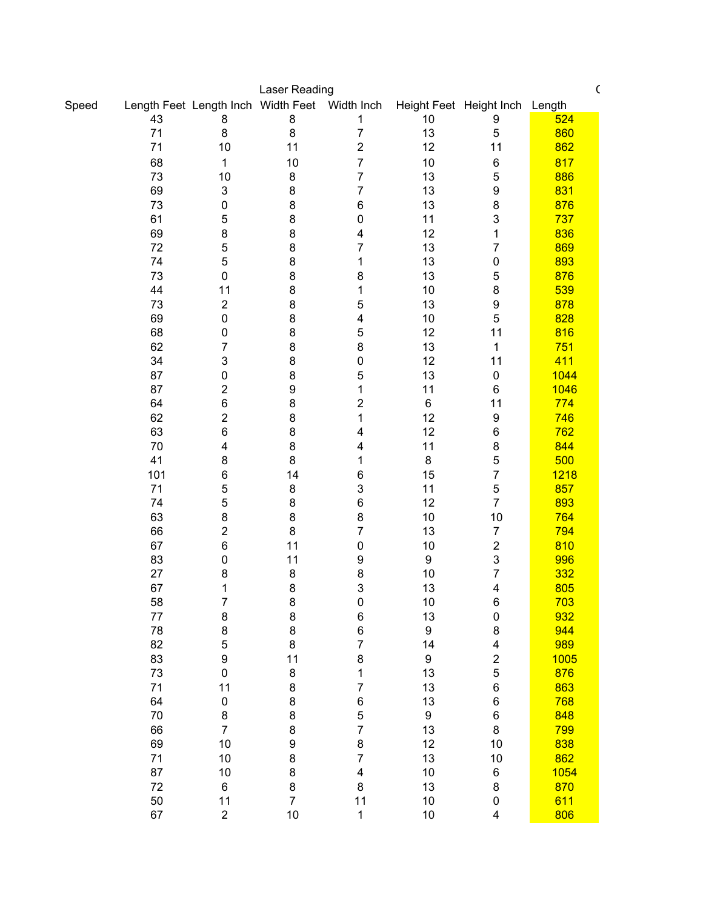|       |        |                                               | Laser Reading  |                         |                  |                         |             | C |
|-------|--------|-----------------------------------------------|----------------|-------------------------|------------------|-------------------------|-------------|---|
| Speed |        | Length Feet Length Inch Width Feet Width Inch |                |                         |                  | Height Feet Height Inch | Length      |   |
|       | 43     | 8                                             | 8              | 1                       | 10               | 9                       | 524         |   |
|       | 71     | 8                                             | 8              | $\overline{7}$          | 13               | 5                       | 860         |   |
|       | 71     | 10                                            | 11             | $\overline{2}$          | 12               | 11                      | 862         |   |
|       | 68     | 1                                             | 10             | $\overline{7}$          | 10               | $\,6$                   | 817         |   |
|       | 73     | 10                                            | 8              | $\overline{7}$          | 13               | 5                       | 886         |   |
|       | 69     | 3                                             | 8              | $\overline{7}$          | 13               | 9                       | 831         |   |
|       | 73     | $\pmb{0}$                                     | 8              | 6                       | 13               | 8                       | 876         |   |
|       | 61     | 5                                             | 8              | 0                       | 11               | 3                       | 737         |   |
|       | 69     | 8                                             | 8              | 4                       | 12               | 1                       | 836         |   |
|       | 72     | 5                                             | 8              | 7                       | 13               | $\overline{7}$          | 869         |   |
|       | 74     | 5                                             | 8              | 1                       | 13               | $\pmb{0}$               | 893         |   |
|       | 73     | $\pmb{0}$                                     | 8              | 8                       | 13               | 5                       | 876         |   |
|       | 44     | 11                                            | 8              | 1                       | 10               | 8                       | 539         |   |
|       | 73     | $\boldsymbol{2}$                              | 8              | 5                       | 13               | 9                       | 878         |   |
|       | 69     | $\pmb{0}$                                     | 8              | 4                       | 10               | 5                       | 828         |   |
|       | 68     | $\pmb{0}$                                     | 8              | 5                       | 12               | 11                      | 816         |   |
|       | 62     | 7                                             | 8              | 8                       | 13               | 1                       | 751         |   |
|       | 34     | 3                                             | 8              | 0                       | 12               | 11                      | 411         |   |
|       | 87     | $\mathbf 0$                                   | 8              | 5                       | 13               | $\pmb{0}$               | 1044        |   |
|       | 87     | $\overline{\mathbf{c}}$                       | 9              | 1                       | 11               | $\,6$                   | 1046        |   |
|       | 64     | $\overline{6}$                                | 8              | $\overline{\mathbf{c}}$ | $\,6$            | 11                      | 774         |   |
|       | 62     | $\overline{c}$                                | 8              | 1                       | 12               | 9                       | 746         |   |
|       | 63     | 6                                             | 8              | 4                       | 12               | $\boldsymbol{6}$        | 762         |   |
|       | 70     | 4                                             | 8              | 4                       | 11               | 8                       | 844         |   |
|       | 41     | 8                                             | 8              | 1                       | 8                | 5                       | 500         |   |
|       | 101    | $\boldsymbol{6}$                              | 14             | 6                       | 15               | $\overline{7}$          | <b>1218</b> |   |
|       | 71     | 5                                             | 8              | 3                       | 11               | 5                       | 857         |   |
|       | 74     | 5                                             | 8              | 6                       | 12               | $\overline{7}$          | 893         |   |
|       | 63     | 8                                             | 8              | 8                       | 10               | 10                      | 764         |   |
|       | 66     | $\overline{\mathbf{c}}$                       | 8              | $\overline{7}$          | 13               | $\overline{7}$          | 794         |   |
|       | 67     | 6                                             | 11             | 0                       | 10               | $\overline{\mathbf{c}}$ | 810         |   |
|       | 83     | $\pmb{0}$                                     | 11             | 9                       | 9                | 3                       | 996         |   |
|       | 27     | 8                                             | 8              | 8                       | 10               | 7                       | 332         |   |
|       | 67     | 1                                             | 8              | 3                       | 13               | 4                       | 805         |   |
|       | 58     | 7                                             | 8              | $\mathbf 0$             | 10               | $\boldsymbol{6}$        | 703         |   |
|       | 77     | 8                                             | 8              | 6                       | 13               | $\bf{0}$                | 932         |   |
|       | 78     |                                               | 8              | 6                       | $\boldsymbol{9}$ | 8                       | 944         |   |
|       | 82     | $\begin{array}{c} 8 \\ 5 \end{array}$         | 8              | $\overline{7}$          | 14               | $\overline{\mathbf{4}}$ | 989         |   |
|       | 83     | $\overline{9}$                                | 11             | 8                       | $\boldsymbol{9}$ | $\overline{\mathbf{c}}$ | 1005        |   |
|       | 73     | $\pmb{0}$                                     | 8              | $\mathbf{1}$            | 13               | $\frac{5}{6}$           | 876         |   |
|       | 71     | 11                                            | $\bf 8$        | $\overline{7}$          | 13               |                         | 863         |   |
|       | 64     | $\boldsymbol{0}$                              | 8              | 6                       | 13               | $\boldsymbol{6}$        | 768         |   |
|       | $70\,$ | 8                                             | 8              | 5                       | 9                | $\boldsymbol{6}$        | 848         |   |
|       | 66     | $\overline{7}$                                | 8              | $\overline{7}$          | 13               | $\bf 8$                 | 799         |   |
|       | 69     | 10                                            | 9              | 8                       | 12               | 10                      | 838         |   |
|       | $71$   | 10                                            | 8              | $\overline{7}$          | 13               | $10$                    | 862         |   |
|       | 87     | 10                                            | 8              | 4                       | 10               | 6                       | 1054        |   |
|       | 72     | $\,6$                                         | 8              | 8                       | 13               | $\bf 8$                 | 870         |   |
|       | 50     | 11                                            | $\overline{7}$ | 11                      | $10$             | $\pmb{0}$               | 611         |   |
|       | 67     | $\overline{2}$                                | $10$           | $\mathbf{1}$            | 10               | $\overline{\mathbf{4}}$ | 806         |   |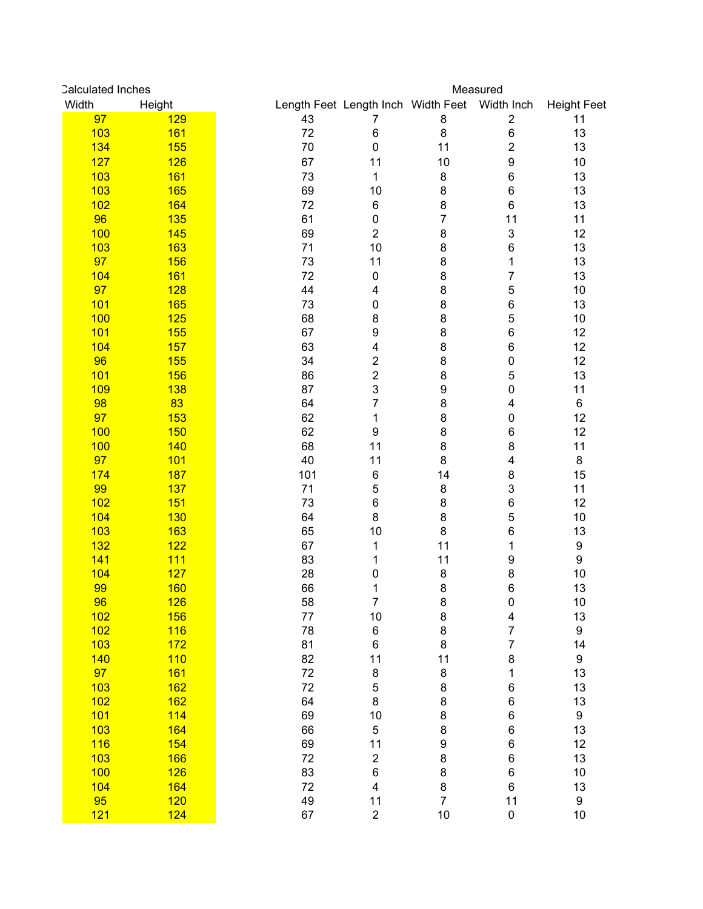| Calculated Inches |            |        |                                               |                | Measured                |                    |
|-------------------|------------|--------|-----------------------------------------------|----------------|-------------------------|--------------------|
| Width             | Height     |        | Length Feet Length Inch Width Feet Width Inch |                |                         | <b>Height Feet</b> |
| 97                | <b>129</b> | 43     | 7                                             | 8              | $\boldsymbol{2}$        | 11                 |
| 103               | 161        | 72     | 6                                             | 8              | $\boldsymbol{6}$        | 13                 |
| 134               | 155        | $70\,$ | $\boldsymbol{0}$                              | 11             | $\overline{\mathbf{c}}$ | 13                 |
| 127               | 126        | 67     | 11                                            | 10             | 9                       | 10                 |
| 103               | 161        | 73     | 1                                             | 8              | 6                       | 13                 |
| 103               | 165        | 69     | 10                                            | 8              | 6                       | 13                 |
| 102               | 164        | 72     | 6                                             | 8              | 6                       | 13                 |
|                   |            |        |                                               |                |                         |                    |
| 96                | 135        | 61     | 0                                             | $\overline{7}$ | 11                      | 11                 |
| 100               | 145        | 69     | $\overline{2}$                                | 8              | 3                       | 12                 |
| 103               | 163        | 71     | 10                                            | 8              | 6                       | 13                 |
| 97                | 156        | 73     | 11                                            | 8              | 1                       | 13                 |
| 104               | 161        | 72     | $\mathsf{O}\xspace$                           | 8              | 7                       | 13                 |
| 97                | 128        | 44     | 4                                             | 8              | 5                       | 10                 |
| 101               | 165        | 73     | 0                                             | 8              | 6                       | 13                 |
| 100               | 125        | 68     | 8                                             | 8              | 5                       | 10                 |
| 101               | 155        | 67     | 9                                             | 8              | 6                       | 12                 |
| 104               | 157        | 63     | 4                                             | 8              | 6                       | 12                 |
| 96                | 155        | 34     | $\overline{\mathbf{c}}$                       | 8              | $\pmb{0}$               | 12                 |
| 101               | 156        | 86     | $\overline{c}$                                | 8              | 5                       | 13                 |
| 109               | 138        | 87     | 3                                             | 9              | $\mathbf 0$             | 11                 |
| 98                | 83         | 64     | 7                                             | 8              | 4                       | 6                  |
| 97                | 153        | 62     | 1                                             | 8              | $\mathbf 0$             | 12                 |
| 100               | 150        | 62     | 9                                             | 8              | $\,6$                   | 12                 |
| 100               | 140        | 68     | 11                                            | 8              | 8                       | 11                 |
| 97                | 101        | 40     | 11                                            | 8              | 4                       | 8                  |
| 174               | 187        | 101    | 6                                             | 14             | 8                       | 15                 |
| 99                | 137        | 71     | 5                                             | 8              | 3                       | 11                 |
| 102               | 151        | 73     | 6                                             | 8              | 6                       | 12                 |
| 104               | 130        | 64     | 8                                             | 8              | 5                       | 10                 |
| 103               | 163        | 65     | 10                                            | 8              | 6                       | 13                 |
| 132               | 122        | 67     |                                               | 11             |                         |                    |
|                   |            |        | 1                                             |                | 1                       | 9                  |
| 141               | 111        | 83     | 1                                             | 11             | 9                       | 9                  |
| 104               | 127        | 28     | 0                                             | 8              | 8                       | 10                 |
| 99                | 160        | 66     | 1                                             | 8              | 6                       | 13                 |
| 96                | 126        | 58     | 7                                             | 8              | $\pmb{0}$               | $10$               |
| 102               | 156        | 77     | 10                                            | 8              | $\overline{\mathbf{4}}$ | 13                 |
| 102               | <b>116</b> | 78     | $\,6$                                         | 8              | $\overline{7}$          | 9                  |
| 103               | 172        | 81     | $\,6$                                         | 8              | $\overline{7}$          | 14                 |
| 140               | 110        | 82     | 11                                            | 11             | 8                       | 9                  |
| 97                | 161        | 72     | 8                                             | 8              | $\mathbf{1}$            | 13                 |
| 103               | 162        | 72     | 5                                             | 8              | $\,6$                   | 13                 |
| 102               | <b>162</b> | 64     | 8                                             | 8              | $\,6$                   | 13                 |
| 101               | 114        | 69     | 10                                            | 8              | $\,6$                   | 9                  |
| 103               | 164        | 66     | 5                                             | 8              | $\,6$                   | 13                 |
| 116               | 154        | 69     | 11                                            | 9              | $\,6$                   | 12                 |
| 103               | 166        | 72     | $\overline{\mathbf{c}}$                       | 8              | 6                       | 13                 |
| 100               | 126        | 83     | $\,6$                                         | 8              | $\,6$                   | 10                 |
| 104               | <b>164</b> | 72     | 4                                             | 8              | $\,6$                   | 13                 |
| 95                | 120        | 49     | 11                                            | $\overline{7}$ | 11                      | 9                  |
| 121               | 124        | 67     | $\overline{2}$                                | 10             | $\pmb{0}$               | 10                 |